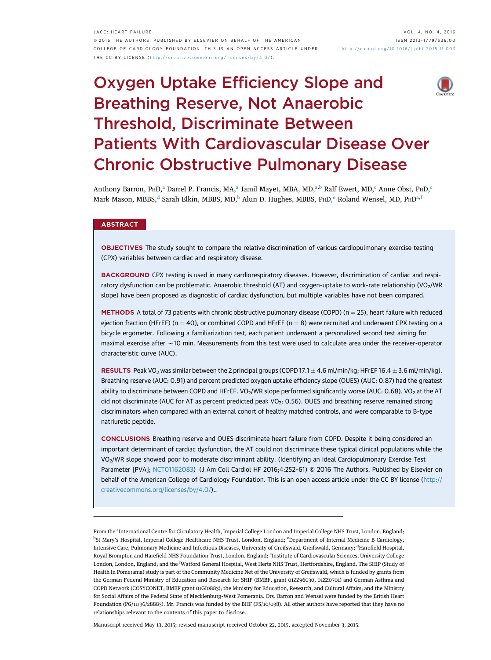# Oxygen Uptake Efficiency Slope and Breathing Reserve, Not Anaerobic Threshold, Discriminate Between Patients With Cardiovascular Disease Over Chronic Obstructive Pulmonary Disease

Anthony Barron, P $HD_1^a$  Darrel P. Francis, MA,<sup>a</sup> Jamil Mayet, MBA, MD,<sup>a,b</sup> Ralf Ewert, MD,<sup>c</sup> Anne Obst, P $HD_2^c$ Mark Mason, MBBS,<sup>d</sup> Sarah Elkin, MBBS, MD,<sup>b</sup> Alun D. Hughes, MBBS, P $HD<sup>e</sup>$  Roland Wensel, MD,  $PHD<sup>a,f</sup>$ 

# **ABSTRACT**

OBJECTIVES The study sought to compare the relative discrimination of various cardiopulmonary exercise testing (CPX) variables between cardiac and respiratory disease.

BACKGROUND CPX testing is used in many cardiorespiratory diseases. However, discrimination of cardiac and respiratory dysfunction can be problematic. Anaerobic threshold (AT) and oxygen-uptake to work-rate relationship (VO<sub>2</sub>/WR slope) have been proposed as diagnostic of cardiac dysfunction, but multiple variables have not been compared.

METHODS A total of 73 patients with chronic obstructive pulmonary disease (COPD) ( $n = 25$ ), heart failure with reduced ejection fraction (HFrEF) (n = 40), or combined COPD and HFrEF (n = 8) were recruited and underwent CPX testing on a bicycle ergometer. Following a familiarization test, each patient underwent a personalized second test aiming for maximal exercise after  $\sim$  10 min. Measurements from this test were used to calculate area under the receiver-operator characteristic curve (AUC).

**RESULTS** Peak VO<sub>2</sub> was similar between the 2 principal groups (COPD 17.1  $\pm$  4.6 ml/min/kg; HFrEF 16.4  $\pm$  3.6 ml/min/kg). Breathing reserve (AUC: 0.91) and percent predicted oxygen uptake efficiency slope (OUES) (AUC: 0.87) had the greatest ability to discriminate between COPD and HFrEF. VO<sub>2</sub>/WR slope performed significantly worse (AUC: 0.68). VO<sub>2</sub> at the AT did not discriminate (AUC for AT as percent predicted peak VO<sub>2</sub>: 0.56). OUES and breathing reserve remained strong discriminators when compared with an external cohort of healthy matched controls, and were comparable to B-type natriuretic peptide.

CONCLUSIONS Breathing reserve and OUES discriminate heart failure from COPD. Despite it being considered an important determinant of cardiac dysfunction, the AT could not discriminate these typical clinical populations while the VO2/WR slope showed poor to moderate discriminant ability. (Identifying an Ideal Cardiopulmonary Exercise Test Parameter [PVA]; [NCT01162083](https://clinicaltrials.gov/ct2/show/NCT01162083)) (J Am Coll Cardiol HF 2016;4:252-61) © 2016 The Authors. Published by Elsevier on behalf of the American College of Cardiology Foundation. This is an open access article under the CC BY license [\(http://](http://creativecommons.org/licenses/by/4.0/) [creativecommons.org/licenses/by/4.0/\)](http://creativecommons.org/licenses/by/4.0/)..

From the <sup>a</sup>International Centre for Circulatory Health, Imperial College London and Imperial College NHS Trust, London, England; <sup>b</sup>St Mary's Hospital, Imperial College Healthcare NHS Trust, London, England; <sup>c</sup>Department of Internal Medicine B-Cardiology, Intensive Care, Pulmonary Medicine and Infectious Diseases, University of Greifswald, Greifswald, Germany; <sup>d</sup>Harefield Hospital, Royal Brompton and Harefield NHS Foundation Trust, London, England; <sup>e</sup>Institute of Cardiovascular Sciences, University College London, London, England; and the <sup>f</sup> Watford General Hospital, West Herts NHS Trust, Hertfordshire, England. The SHIP (Study of Health In Pomerania) study is part of the Community Medicine Net of the University of Greifswald, which is funded by grants from the German Federal Ministry of Education and Research for SHIP (BMBF, grant 01ZZ96030, 01ZZ0701) and German Asthma and COPD Network (COSYCONET; BMBF grant 01GI0883); the Ministry for Education, Research, and Cultural Affairs; and the Ministry for Social Affairs of the Federal State of Mecklenburg–West Pomerania. Drs. Barron and Wensel were funded by the British Heart Foundation (PG/11/36/28883). Mr. Francis was funded by the BHF (FS/10/038). All other authors have reported that they have no relationships relevant to the contents of this paper to disclose.

Manuscript received May 13, 2015; revised manuscript received October 22, 2015, accepted November 3, 2015.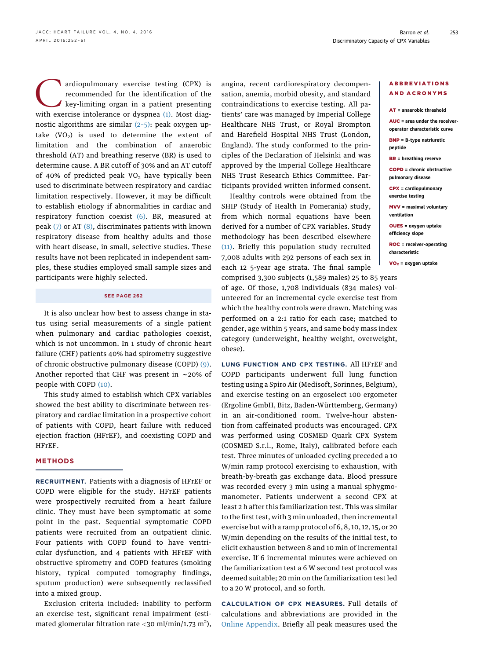ardiopulmonary exercise testing (CPX) is<br>recommended for the identification of the<br>key-limiting organ in a patient presenting<br>with exercise intolerance or dyspnea (1) Most diagrecommended for the identification of the key-limiting organ in a patient presenting with exercise intolerance or dyspnea [\(1\).](#page-8-0) Most diagnostic algorithms are similar (2–[5\)](#page-8-0): peak oxygen uptake  $(VO<sub>2</sub>)$  is used to determine the extent of limitation and the combination of anaerobic threshold (AT) and breathing reserve (BR) is used to determine cause. A BR cutoff of 30% and an AT cutoff of 40% of predicted peak  $VO<sub>2</sub>$  have typically been used to discriminate between respiratory and cardiac limitation respectively. However, it may be difficult to establish etiology if abnormalities in cardiac and respiratory function coexist [\(6\)](#page-8-0). BR, measured at peak [\(7\)](#page-8-0) or AT [\(8\),](#page-8-0) discriminates patients with known respiratory disease from healthy adults and those with heart disease, in small, selective studies. These results have not been replicated in independent samples, these studies employed small sample sizes and participants were highly selected.

# SEE PAGE 262

It is also unclear how best to assess change in status using serial measurements of a single patient when pulmonary and cardiac pathologies coexist, which is not uncommon. In 1 study of chronic heart failure (CHF) patients 40% had spirometry suggestive of chronic obstructive pulmonary disease (COPD) [\(9\).](#page-8-0) Another reported that CHF was present in  $\sim$ 20% of people with COPD [\(10\)](#page-8-0).

This study aimed to establish which CPX variables showed the best ability to discriminate between respiratory and cardiac limitation in a prospective cohort of patients with COPD, heart failure with reduced ejection fraction (HFrEF), and coexisting COPD and HFrEF.

# **METHODS**

RECRUITMENT. Patients with a diagnosis of HFrEF or COPD were eligible for the study. HFrEF patients were prospectively recruited from a heart failure clinic. They must have been symptomatic at some point in the past. Sequential symptomatic COPD patients were recruited from an outpatient clinic. Four patients with COPD found to have ventricular dysfunction, and 4 patients with HFrEF with obstructive spirometry and COPD features (smoking history, typical computed tomography findings, sputum production) were subsequently reclassified into a mixed group.

Exclusion criteria included: inability to perform an exercise test, significant renal impairment (estimated glomerular filtration rate  $<$ 30 ml/min/1.73 m<sup>2</sup>),

angina, recent cardiorespiratory decompensation, anemia, morbid obesity, and standard contraindications to exercise testing. All patients' care was managed by Imperial College Healthcare NHS Trust, or Royal Brompton and Harefield Hospital NHS Trust (London, England). The study conformed to the principles of the Declaration of Helsinki and was approved by the Imperial College Healthcare NHS Trust Research Ethics Committee. Participants provided written informed consent.

Healthy controls were obtained from the SHIP (Study of Health In Pomerania) study, from which normal equations have been derived for a number of CPX variables. Study methodology has been described elsewhere [\(11\).](#page-9-0) Briefly this population study recruited 7,008 adults with 292 persons of each sex in each 12 5-year age strata. The final sample comprised 3,300 subjects (1,589 males) 25 to 85 years

of age. Of those, 1,708 individuals (834 males) volunteered for an incremental cycle exercise test from which the healthy controls were drawn. Matching was performed on a 2:1 ratio for each case; matched to gender, age within 5 years, and same body mass index category (underweight, healthy weight, overweight, obese).

LUNG FUNCTION AND CPX TESTING. All HFrEF and COPD participants underwent full lung function testing using a Spiro Air (Medisoft, Sorinnes, Belgium), and exercise testing on an ergoselect 100 ergometer (Ergoline GmbH, Bitz, Baden-Württemberg, Germany) in an air-conditioned room. Twelve-hour abstention from caffeinated products was encouraged. CPX was performed using COSMED Quark CPX System (COSMED S.r.l., Rome, Italy), calibrated before each test. Three minutes of unloaded cycling preceded a 10 W/min ramp protocol exercising to exhaustion, with breath-by-breath gas exchange data. Blood pressure was recorded every 3 min using a manual sphygmomanometer. Patients underwent a second CPX at least 2 h after this familiarization test. This was similar to the first test, with 3 min unloaded, then incremental exercise but with a ramp protocol of 6, 8, 10, 12, 15, or 20 W/min depending on the results of the initial test, to elicit exhaustion between 8 and 10 min of incremental exercise. If 6 incremental minutes were achieved on the familiarization test a 6 W second test protocol was deemed suitable; 20 min on the familiarization test led to a 20 W protocol, and so forth.

CALCULATION OF CPX MEASURES. Full details of calculations and abbreviations are provided in the [Online Appendix](http://dx.doi.org/10.1016/j.jchf.2015.11.003). Briefly all peak measures used the

## ABBREVIATIONS AND ACRONYMS

AT = anaerobic threshold

AUC = area under the receiveroperator characteristic curve

BNP = B-type natriuretic peptide

BR = breathing reserve

COPD = chronic obstructive pulmonary disease

CPX = cardiopulmonary exercise testing

MVV = maximal voluntary ventilation

OUES = oxygen uptake efficiency slope

ROC = receiver-operating characteristic

 $VO<sub>2</sub> = oxygen uptake$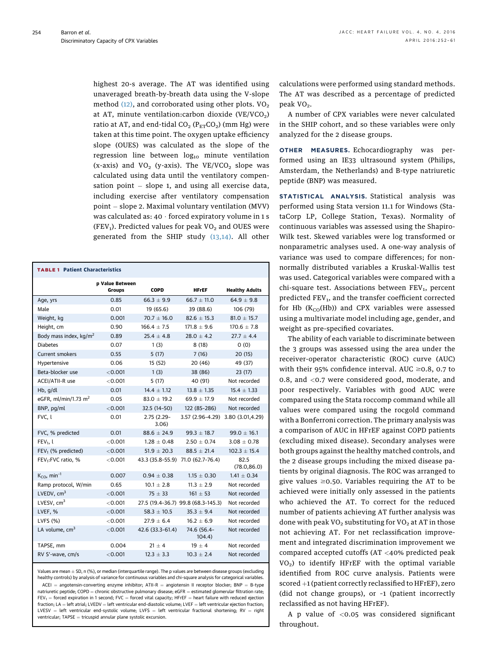<span id="page-2-0"></span>highest 20-s average. The AT was identified using unaveraged breath-by-breath data using the V-slope method  $(12)$ , and corroborated using other plots. VO<sub>2</sub> at AT, minute ventilation: carbon dioxide (VE/VCO<sub>2</sub>) ratio at AT, and end-tidal  $CO_2$  ( $P_{ET}CO_2$ ) (mm Hg) were taken at this time point. The oxygen uptake efficiency slope (OUES) was calculated as the slope of the regression line between  $log_{10}$  minute ventilation (x-axis) and  $VO_2$  (y-axis). The  $VE/VCO_2$  slope was calculated using data until the ventilatory compensation point  $-$  slope 1, and using all exercise data, including exercise after ventilatory compensation point  $-$  slope 2. Maximal voluntary ventilation (MVV) was calculated as:  $40 \cdot$  forced expiratory volume in 1 s (FEV<sub>1</sub>). Predicted values for peak  $VO<sub>2</sub>$  and OUES were generated from the SHIP study [\(13,14\).](#page-9-0) All other

| <b>TABLE 1 Patient Characteristics</b> |                           |                        |                                    |                       |  |
|----------------------------------------|---------------------------|------------------------|------------------------------------|-----------------------|--|
|                                        | p Value Between<br>Groups | <b>COPD</b>            | <b>HFrEF</b>                       | <b>Healthy Adults</b> |  |
| Age, yrs                               | 0.85                      | $66.3 \pm 9.9$         | $66.7 + 11.0$                      | $64.9 \pm 9.8$        |  |
| Male                                   | 0.01                      | 19 (65.6)              | 39 (88.6)                          | 106 (79)              |  |
| Weight, kg                             | 0.001                     | $70.7 \pm 16.0$        | $82.6 \pm 15.3$                    | $81.0 \pm 15.7$       |  |
| Height, cm                             | 0.90                      | $166.4 + 7.5$          | $171.8 + 9.6$                      | $170.6 + 7.8$         |  |
| Body mass index, kg/m <sup>2</sup>     | 0.89                      | $25.4 \pm 4.8$         | $28.0 \pm 4.2$                     | $27.7 \pm 4.4$        |  |
| <b>Diabetes</b>                        | 0.07                      | 1(3)                   | 8(18)                              | 0(0)                  |  |
| Current smokers                        | 0.55                      | 5(17)                  | 7(16)                              | 20(15)                |  |
| Hypertensive                           | 0.06                      | 15(52)                 | 20 (46)                            | 49 (37)               |  |
| Beta-blocker use                       | < 0.001                   | 1(3)                   | 38 (86)                            | 23 (17)               |  |
| ACEI/ATII-R use                        | $<$ 0.001                 | 5(17)                  | 40 (91)                            | Not recorded          |  |
| Hb, g/dl                               | 0.01                      | $14.4 \pm 1.12$        | $13.8 \pm 1.35$                    | $15.4 \pm 1.33$       |  |
| eGFR, ml/min/1.73 m <sup>2</sup>       | 0.05                      | $83.0 \pm 19.2$        | $69.9 \pm 17.9$                    | Not recorded          |  |
| BNP, pg/ml                             | < 0.001                   | 32.5 (14-50)           | 122 (85-286)                       | Not recorded          |  |
| FVC, l                                 | 0.01                      | $2.75(2.29 -$<br>3.06) | 3.57 (2.96-4.29) 3.80 (3.01,4.29)  |                       |  |
| FVC, % predicted                       | 0.01                      | $88.6 \pm 24.9$        | $99.3 \pm 18.7$                    | $99.0 \pm 16.1$       |  |
| $FEV1$ , l                             | < 0.001                   | $1.28 + 0.48$          | $2.50 \pm 0.74$                    | $3.08 + 0.78$         |  |
| FEV <sub>1</sub> (% predicted)         | < 0.001                   | $51.9 \pm 20.3$        | $88.5 \pm 21.4$                    | $102.3 \pm 15.4$      |  |
| FEV <sub>1</sub> :FVC ratio, %         | $<$ 0.001                 |                        | 43.3 (35.8-55.9) 71.0 (62.7-76.4)  | 82.5<br>(78.0, 86.0)  |  |
| $K_{\text{CO}}$ , min <sup>-1</sup>    | 0.007                     | $0.94 \pm 0.38$        | $1.15 \pm 0.30$                    | $1.41 \pm 0.34$       |  |
| Ramp protocol, W/min                   | 0.65                      | $10.1 \pm 2.8$         | $11.3 \pm 2.9$                     | Not recorded          |  |
| LVEDV, $cm3$                           | < 0.001                   | $75 \pm 33$            | $161 \pm 53$                       | Not recorded          |  |
| LVESV, $cm3$                           | < 0.001                   |                        | 27.5 (19.4-36.7) 99.8 (68.3-145.3) | Not recorded          |  |
| LVEF, %                                | < 0.001                   | $58.3 \pm 10.5$        | $35.3 \pm 9.4$                     | Not recorded          |  |
| LVFS (%)                               | < 0.001                   | $27.9 \pm 6.4$         | $16.2 \pm 6.9$                     | Not recorded          |  |
| LA volume, cm <sup>3</sup>             | < 0.001                   | 42.6 (33.3-61.4)       | 74.6 (56.4-<br>104.4)              | Not recorded          |  |
| TAPSE, mm                              | 0.004                     | $21 \pm 4$             | $19 \pm 4$                         | Not recorded          |  |
| RV S'-wave, cm/s                       | < 0.001                   | $12.3 + 3.3$           | $10.3 + 2.4$                       | Not recorded          |  |

Values are mean  $\pm$  SD, n (%), or median (interquartile range). The p values are between disease groups (excluding healthy controls) by analysis of variance for continuous variables and chi-square analysis for categorical variables.  $ACEI$  = angotensin-converting enzyme inhibitor;  $ATII-R$  = angiotensin II receptor blocker; BNP = B-type natriuretic peptide; COPD = chronic obstructive pulmonary disease; eGFR = estimated glomerular filtration rate;  $FEV_1 =$  forced expiration in 1 second; FVC = forced vital capacity; HFrEF = heart failure with reduced ejection  $fraction; LA = left atrial; LVEDV = left ventricular end-diastolic volume; LVEF = left ventricular ejection;$ LVESV = left ventricular end-systolic volume; LVFS = left ventricular fractional shortening; RV = right  $v$ entricular; TAPSE = tricuspid annular plane systolic excursion.

calculations were performed using standard methods. The AT was described as a percentage of predicted peak  $VO<sub>2</sub>$ .

A number of CPX variables were never calculated in the SHIP cohort, and so these variables were only analyzed for the 2 disease groups.

OTHER MEASURES. Echocardiography was performed using an IE33 ultrasound system (Philips, Amsterdam, the Netherlands) and B-type natriuretic peptide (BNP) was measured.

STATISTICAL ANALYSIS. Statistical analysis was performed using Stata version 11.1 for Windows (StataCorp LP, College Station, Texas). Normality of continuous variables was assessed using the Shapiro-Wilk test. Skewed variables were log transformed or nonparametric analyses used. A one-way analysis of variance was used to compare differences; for nonnormally distributed variables a Kruskal-Wallis test was used. Categorical variables were compared with a chi-square test. Associations between  $FEV<sub>1</sub>$ , percent predicted FEV<sub>1</sub>, and the transfer coefficient corrected for Hb  $(K_{CO}(Hb))$  and CPX variables were assessed using a multivariate model including age, gender, and weight as pre-specified covariates.

The ability of each variable to discriminate between the 3 groups was assessed using the area under the receiver-operator characteristic (ROC) curve (AUC) with their 95% confidence interval. AUC  $\geq$ 0.8, 0.7 to 0.8, and <0.7 were considered good, moderate, and poor respectively. Variables with good AUC were compared using the Stata roccomp command while all values were compared using the rocgold command with a Bonferroni correction. The primary analysis was a comparison of AUC in HFrEF against COPD patients (excluding mixed disease). Secondary analyses were both groups against the healthy matched controls, and the 2 disease groups including the mixed disease patients by original diagnosis. The ROC was arranged to give values  $\geq 0.50$ . Variables requiring the AT to be achieved were initially only assessed in the patients who achieved the AT. To correct for the reduced number of patients achieving AT further analysis was done with peak VO<sub>2</sub> substituting for VO<sub>2</sub> at AT in those not achieving AT. For net reclassification improvement and integrated discrimination improvement we compared accepted cutoffs (AT <40% predicted peak  $VO<sub>2</sub>$ ) to identify HFrEF with the optimal variable identified from ROC curve analysis. Patients were scored  $+1$  (patient correctly reclassified to HFrEF), zero (did not change groups), or –1 (patient incorrectly reclassified as not having HFrEF).

A p value of  $< 0.05$  was considered significant throughout.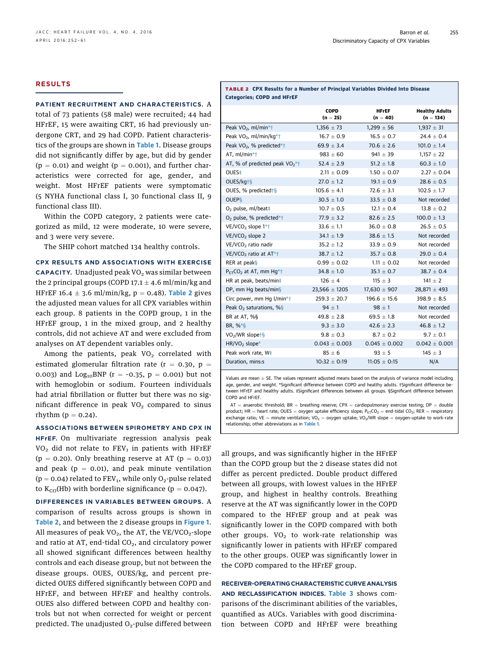# RESULTS

### PATIENT RECRUITMENT AND CHARACTERISTICS. A

total of 73 patients (58 male) were recruited; 44 had HFrEF, 15 were awaiting CRT, 16 had previously undergone CRT, and 29 had COPD. Patient characteris-tics of the groups are shown in [Table 1](#page-2-0). Disease groups did not significantly differ by age, but did by gender  $(p = 0.01)$  and weight  $(p = 0.001)$ , and further characteristics were corrected for age, gender, and weight. Most HFrEF patients were symptomatic (5 NYHA functional class I, 30 functional class II, 9 functional class III).

Within the COPD category, 2 patients were categorized as mild, 12 were moderate, 10 were severe, and 3 were very severe.

The SHIP cohort matched 134 healthy controls.

CPX RESULTS AND ASSOCIATIONS WITH EXERCISE **CAPACITY.** Unadjusted peak  $VO<sub>2</sub>$  was similar between the 2 principal groups (COPD 17.1  $\pm$  4.6 ml/min/kg and HFrEF 16.4  $\pm$  3.6 ml/min/kg, p = 0.48). Table 2 gives the adjusted mean values for all CPX variables within each group. 8 patients in the COPD group, 1 in the HFrEF group, 1 in the mixed group, and 2 healthy controls, did not achieve AT and were excluded from analyses on AT dependent variables only.

Among the patients, peak  $VO<sub>2</sub>$  correlated with estimated glomerular filtration rate ( $r = 0.30$ ,  $p =$ 0.003) and  $Log_{10}BNP$  (r = -0.35, p = 0.001) but not with hemoglobin or sodium. Fourteen individuals had atrial fibrillation or flutter but there was no significant difference in peak  $VO<sub>2</sub>$  compared to sinus rhythm  $(p = 0.24)$ .

# ASSOCIATIONS BETWEEN SPIROMETRY AND CPX IN HFrEF. On multivariate regression analysis peak  $VO<sub>2</sub>$  did not relate to FEV<sub>1</sub> in patients with HFrEF ( $p = 0.20$ ). Only breathing reserve at AT ( $p = 0.03$ ) and peak ( $p = 0.01$ ), and peak minute ventilation ( $p = 0.04$ ) related to FEV<sub>1</sub>, while only O<sub>2</sub>-pulse related to  $K_{CO}$ (Hb) with borderline significance (p = 0.047).

DIFFERENCES IN VARIABLES BETWEEN GROUPS. A comparison of results across groups is shown in Table 2, and between the 2 disease groups in [Figure 1](#page-4-0). All measures of peak  $VO<sub>2</sub>$ , the AT, the VE/VCO<sub>2</sub>-slope and ratio at AT, end-tidal  $CO<sub>2</sub>$ , and circulatory power all showed significant differences between healthy controls and each disease group, but not between the disease groups. OUES, OUES/kg, and percent predicted OUES differed significantly between COPD and HFrEF, and between HFrEF and healthy controls. OUES also differed between COPD and healthy controls but not when corrected for weight or percent predicted. The unadjusted  $O<sub>2</sub>$ -pulse differed between

|                            |  | <b>TABLE 2 CPX Results for a Number of Principal Variables Divided Into Disease</b> |  |
|----------------------------|--|-------------------------------------------------------------------------------------|--|
| Categories; COPD and HFrEF |  |                                                                                     |  |

|                                                 | COPD<br>$(n = 25)$ | <b>HFrEF</b><br>$(n = 40)$ | <b>Healthy Adults</b><br>$(n = 134)$ |
|-------------------------------------------------|--------------------|----------------------------|--------------------------------------|
| Peak VO <sub>2</sub> , ml/min*+                 | $1,356 \pm 73$     | $1,299 \pm 56$             | $1,937 \pm 31$                       |
| Peak VO <sub>2</sub> , ml/min/kg*t              | $16.7 + 0.9$       | $16.5 + 0.7$               | $24.4 + 0.4$                         |
| Peak VO <sub>2</sub> , % predicted*†            | 69.9 $\pm$ 3.4     | $70.6 + 2.6$               | $101.0 \pm 1.4$                      |
| AT, ml/min*+                                    | $983 + 60$         | $941 + 39$                 | $1,157 \pm 22$                       |
| AT, % of predicted peak $VO_2$ *†               | $52.4 \pm 2.9$     | $51.2 \pm 1.8$             | $60.3 \pm 1.0$                       |
| OUES <sup>‡</sup>                               | $2.11 \pm 0.09$    | $1.50 \pm 0.07$            | $2.27 \pm 0.04$                      |
| OUES/kgt§                                       | $27.0 \pm 1.2$     | $19.1 \pm 0.9$             | $28.6 \pm 0.5$                       |
| OUES, % predicted $\frac{1}{9}$                 | $105.6 \pm 4.1$    | $72.6 \pm 3.1$             | $102.5 \pm 1.7$                      |
| <b>OUEPS</b>                                    | $30.5 \pm 1.0$     | $33.5 \pm 0.8$             | Not recorded                         |
| $O2$ pulse, ml/beat $\ddagger$                  | $10.7 + 0.5$       | $12.1 + 0.4$               | $13.8 + 0.2$                         |
| O <sub>2</sub> pulse, % predicted* <sup>†</sup> | $77.9 \pm 3.2$     | $82.6 \pm 2.5$             | $100.0 \pm 1.3$                      |
| VE/VCO <sub>2</sub> slope 1*+                   | $33.6 \pm 1.1$     | $36.0 \pm 0.8$             | $26.5 \pm 0.5$                       |
| VE/VCO <sub>2</sub> slope 2                     | $34.1 + 1.9$       | $38.6 + 1.5$               | Not recorded                         |
| VE/VCO <sub>2</sub> ratio nadir                 | $35.2 + 1.2$       | $33.9 + 0.9$               | Not recorded                         |
| VE/VCO <sub>2</sub> ratio at AT <sup>*+</sup>   | $38.7 \pm 1.2$     | $35.7 \pm 0.8$             | $29.0 \pm 0.4$                       |
| RER at peaks                                    | $0.99 + 0.02$      | $1.11 + 0.02$              | Not recorded                         |
| $P_{FT}CO_2$ at AT, mm Hq*†                     | $34.8 \pm 1.0$     | $35.1 \pm 0.7$             | $38.7 \pm 0.4$                       |
| HR at peak, beats/min‡                          | $126 \pm 4$        | $115 \pm 3$                | $141 \pm 2$                          |
| DP, mm Hg beats/min§                            | $23,566 \pm 1205$  | $17,630 \pm 907$           | $28,871 \pm 493$                     |
| Circ power, mm Hg l/min*†                       | $259.3 \pm 20.7$   | $196.6 \pm 15.6$           | $398.9 \pm 8.5$                      |
| Peak $O2$ saturations, %§                       | $94 + 1$           | $98 + 1$                   | Not recorded                         |
| BR at AT, %§                                    | $49.8 \pm 2.8$     | $69.5 \pm 1.8$             | Not recorded                         |
| $BR, \%*S$                                      | $9.3 \pm 3.0$      | $42.6 \pm 2.3$             | $46.8 \pm 1.2$                       |
| VO <sub>2</sub> /WR slope <sup>+§</sup>         | $9.8 \pm 0.3$      | $8.7 + 0.2$                | $9.7 + 0.1$                          |
| HR/VO <sub>2</sub> slope*                       | $0.043 \pm 0.003$  | $0.045 \pm 0.002$          | $0.042 \pm 0.001$                    |
| Peak work rate, W <sup>+</sup>                  | $85 \pm 6$         | $93 \pm 5$                 | $145 \pm 3$                          |
| Duration, mins:s                                | $10:32 \pm 0:19$   | $11:05 \pm 0:15$           | N/A                                  |

Values are mean  $\pm$  SE. The values represent adjusted means based on the analysis of variance model including age, gender, and weight. \*Significant difference between COPD and healthy adults. †Significant difference between HFrEF and healthy adults. ‡Significant differences between all groups. §Significant difference between COPD and HFrEF.

 $AT =$  anaerobic threshold; BR = breathing reserve; CPX = cardiopulmonary exercise testing; DP = double product; HR = heart rate; OUES = oxygen uptake efficiency slope;  $P_{ET}CO_2$  = end-tidal CO<sub>2</sub>; RER = respiratory exchange ratio; VE = minute ventilation; VO<sub>2</sub> = oxygen uptake; VO<sub>2</sub>/WR slope = oxygen-uptake to work-rate relationship; other abbreviations as in [Table 1](#page-2-0).

all groups, and was significantly higher in the HFrEF than the COPD group but the 2 disease states did not differ as percent predicted. Double product differed between all groups, with lowest values in the HFrEF group, and highest in healthy controls. Breathing reserve at the AT was significantly lower in the COPD compared to the HFrEF group and at peak was significantly lower in the COPD compared with both other groups.  $VO<sub>2</sub>$  to work-rate relationship was significantly lower in patients with HFrEF compared to the other groups. OUEP was significantly lower in the COPD compared to the HFrEF group.

RECEIVER-OPERATING CHARACTERISTIC CURVE ANALYSIS AND RECLASSIFICATION INDICES. [Table 3](#page-5-0) shows comparisons of the discriminant abilities of the variables, quantified as AUCs. Variables with good discrimination between COPD and HFrEF were breathing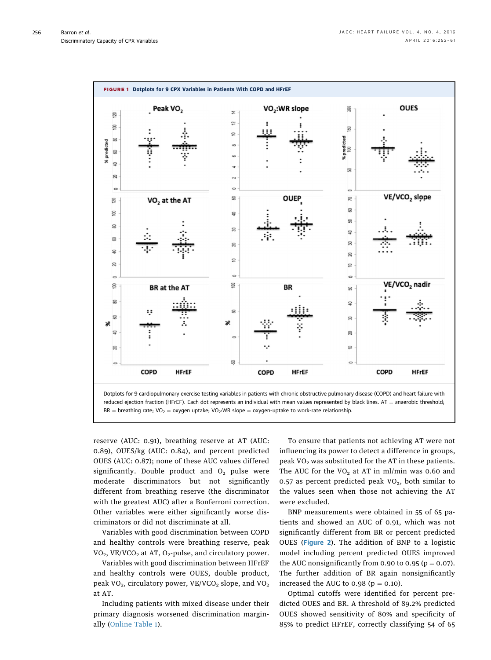<span id="page-4-0"></span>

reduced ejection fraction (HFrEF). Each dot represents an individual with mean values represented by black lines.  $AT =$  anaerobic threshold; BR = breathing rate; VO<sub>2</sub> = oxygen uptake; VO<sub>2</sub>:WR slope = oxygen-uptake to work-rate relationship.

reserve (AUC: 0.91), breathing reserve at AT (AUC: 0.89), OUES/kg (AUC: 0.84), and percent predicted OUES (AUC: 0.87); none of these AUC values differed significantly. Double product and  $O<sub>2</sub>$  pulse were moderate discriminators but not significantly different from breathing reserve (the discriminator with the greatest AUC) after a Bonferroni correction. Other variables were either significantly worse discriminators or did not discriminate at all.

Variables with good discrimination between COPD and healthy controls were breathing reserve, peak  $VO<sub>2</sub>$ , VE/VCO<sub>2</sub> at AT, O<sub>2</sub>-pulse, and circulatory power.

Variables with good discrimination between HFrEF and healthy controls were OUES, double product, peak VO<sub>2</sub>, circulatory power, VE/VCO<sub>2</sub> slope, and VO<sub>2</sub> at AT.

Including patients with mixed disease under their primary diagnosis worsened discrimination marginally [\(Online Table 1\)](http://dx.doi.org/10.1016/j.jchf.2015.11.003).

To ensure that patients not achieving AT were not influencing its power to detect a difference in groups, peak  $VO<sub>2</sub>$  was substituted for the AT in these patients. The AUC for the  $VO<sub>2</sub>$  at AT in ml/min was 0.60 and 0.57 as percent predicted peak  $VO<sub>2</sub>$ , both similar to the values seen when those not achieving the AT were excluded.

BNP measurements were obtained in 55 of 65 patients and showed an AUC of 0.91, which was not significantly different from BR or percent predicted OUES ([Figure 2](#page-6-0)). The addition of BNP to a logistic model including percent predicted OUES improved the AUC nonsignificantly from 0.90 to 0.95 ( $p = 0.07$ ). The further addition of BR again nonsignificantly increased the AUC to  $0.98$  ( $p = 0.10$ ).

Optimal cutoffs were identified for percent predicted OUES and BR. A threshold of 89.2% predicted OUES showed sensitivity of 80% and specificity of 85% to predict HFrEF, correctly classifying 54 of 65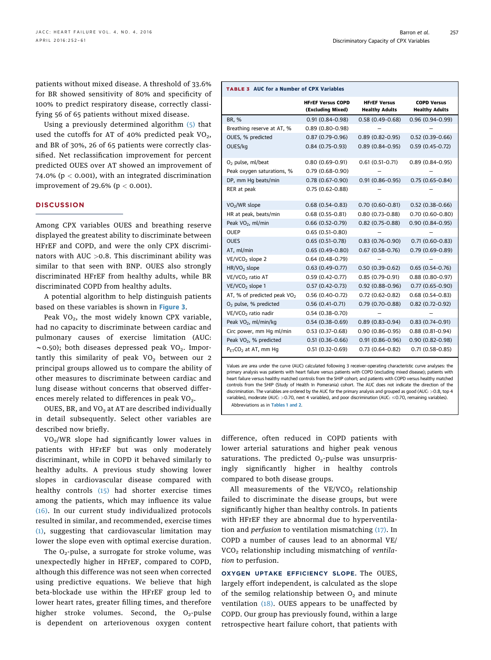<span id="page-5-0"></span>patients without mixed disease. A threshold of 33.6% for BR showed sensitivity of 80% and specificity of 100% to predict respiratory disease, correctly classifying 56 of 65 patients without mixed disease.

Using a previously determined algorithm [\(5\)](#page-8-0) that used the cutoffs for AT of 40% predicted peak  $VO<sub>2</sub>$ , and BR of 30%, 26 of 65 patients were correctly classified. Net reclassification improvement for percent predicted OUES over AT showed an improvement of 74.0% ( $p < 0.001$ ), with an integrated discrimination improvement of 29.6% ( $p < 0.001$ ).

# **DISCUSSION**

Among CPX variables OUES and breathing reserve displayed the greatest ability to discriminate between HFrEF and COPD, and were the only CPX discriminators with AUC >0.8. This discriminant ability was similar to that seen with BNP. OUES also strongly discriminated HFrEF from healthy adults, while BR discriminated COPD from healthy adults.

A potential algorithm to help distinguish patients based on these variables is shown in [Figure 3](#page-7-0).

Peak  $VO<sub>2</sub>$ , the most widely known CPX variable, had no capacity to discriminate between cardiac and pulmonary causes of exercise limitation (AUC:  $\sim$ 0.50); both diseases depressed peak VO<sub>2</sub>. Importantly this similarity of peak  $VO<sub>2</sub>$  between our 2 principal groups allowed us to compare the ability of other measures to discriminate between cardiac and lung disease without concerns that observed differences merely related to differences in peak  $VO<sub>2</sub>$ .

OUES, BR, and  $VO<sub>2</sub>$  at AT are described individually in detail subsequently. Select other variables are described now briefly.

VO2/WR slope had significantly lower values in patients with HFrEF but was only moderately discriminant, while in COPD it behaved similarly to healthy adults. A previous study showing lower slopes in cardiovascular disease compared with healthy controls [\(15\)](#page-9-0) had shorter exercise times among the patients, which may influence its value [\(16\).](#page-9-0) In our current study individualized protocols resulted in similar, and recommended, exercise times [\(1\)](#page-8-0), suggesting that cardiovascular limitation may lower the slope even with optimal exercise duration.

The  $O_2$ -pulse, a surrogate for stroke volume, was unexpectedly higher in HFrEF, compared to COPD, although this difference was not seen when corrected using predictive equations. We believe that high beta-blockade use within the HFrEF group led to lower heart rates, greater filling times, and therefore higher stroke volumes. Second, the  $O<sub>2</sub>$ -pulse is dependent on arteriovenous oxygen content

## TABLE 3 AUC for a Number of CPX Variables

|                                    | <b>HFrEF Versus COPD</b><br>(Excluding Mixed) | <b>HFrEF Versus</b><br><b>Healthy Adults</b> | <b>COPD Versus</b><br><b>Healthy Adults</b> |
|------------------------------------|-----------------------------------------------|----------------------------------------------|---------------------------------------------|
| BR, %                              | $0.91(0.84 - 0.98)$                           | $0.58(0.49-0.68)$                            | $0.96(0.94 - 0.99)$                         |
| Breathing reserve at AT, %         | $0.89(0.80 - 0.98)$                           |                                              |                                             |
| OUES, % predicted                  | $0.87(0.79-0.96)$                             | $0.89(0.82 - 0.95)$                          | $0.52(0.39-0.66)$                           |
| OUES/kg                            | $0.84(0.75-0.93)$                             | $0.89(0.84 - 0.95)$                          | $0.59(0.45 - 0.72)$                         |
| $O2$ pulse, ml/beat                | $0.80(0.69 - 0.91)$                           | $0.61(0.51-0.71)$                            | $0.89(0.84 - 0.95)$                         |
| Peak oxygen saturations, %         | $0.79(0.68-0.90)$                             |                                              |                                             |
| DP, mm Hg beats/min                | $0.78(0.67-0.90)$                             | $0.91(0.86 - 0.95)$                          | $0.75(0.65 - 0.84)$                         |
| RER at peak                        | $0.75(0.62 - 0.88)$                           |                                              |                                             |
| VO <sub>2</sub> /WR slope          | $0.68(0.54-0.83)$                             | $0.70(0.60 - 0.81)$                          | $0.52(0.38-0.66)$                           |
| HR at peak, beats/min              | $0.68(0.55 - 0.81)$                           | $0.80(0.73-0.88)$                            | $0.70(0.60 - 0.80)$                         |
| Peak VO <sub>2</sub> , ml/min      | $0.66(0.52 - 0.79)$                           | $0.82(0.75-0.88)$                            | $0.90(0.84 - 0.95)$                         |
| OUEP                               | $0.65(0.51-0.80)$                             |                                              |                                             |
| <b>OUES</b>                        | $0.65(0.51-0.78)$                             | $0.83(0.76 - 0.90)$                          | $0.71(0.60 - 0.83)$                         |
| AT, ml/min                         | $0.65(0.49-0.80)$                             | $0.67(0.58 - 0.76)$                          | $0.79(0.69 - 0.89)$                         |
| VE/VCO <sub>2</sub> slope 2        | $0.64(0.48-0.79)$                             |                                              |                                             |
| HR/VO <sub>2</sub> slope           | $0.63(0.49-0.77)$                             | $0.50(0.39-0.62)$                            | $0.65(0.54-0.76)$                           |
| VE/VCO <sub>2</sub> ratio AT       | $0.59(0.42 - 0.77)$                           | $0.85(0.79-0.91)$                            | $0.88(0.80 - 0.97)$                         |
| VE/VCO <sub>2</sub> slope 1        | $0.57(0.42 - 0.73)$                           | $0.92(0.88-0.96)$                            | $0.77(0.65 - 0.90)$                         |
| AT, % of predicted peak $VO2$      | $0.56(0.40-0.72)$                             | $0.72(0.62 - 0.82)$                          | $0.68(0.54 - 0.83)$                         |
| $O2$ pulse, % predicted            | $0.56(0.41-0.71)$                             | $0.79(0.70-0.88)$                            | $0.82(0.72 - 0.92)$                         |
| VE/VCO <sub>2</sub> ratio nadir    | $0.54(0.38-0.70)$                             |                                              |                                             |
| Peak VO <sub>2</sub> , ml/min/kg   | $0.54(0.38-0.69)$                             | $0.89(0.83 - 0.94)$                          | $0.83(0.74 - 0.91)$                         |
| Circ power, mm Hg ml/min           | $0.53(0.37-0.68)$                             | $0.90(0.86 - 0.95)$                          | $0.88(0.81 - 0.94)$                         |
| Peak VO <sub>2</sub> , % predicted | $0.51(0.36 - 0.66)$                           | $0.91(0.86 - 0.96)$                          | $0.90(0.82 - 0.98)$                         |
| $P_{FT}CO_2$ at AT, mm Hg          | $0.51(0.32 - 0.69)$                           | $0.73(0.64 - 0.82)$                          | $0.71(0.58 - 0.85)$                         |

Values are area under the curve (AUC) calculated following 3 receiver-operating characteristic curve analyses: the primary analysis was patients with heart failure versus patients with COPD (excluding mixed disease); patients with heart failure versus healthy matched controls from the SHIP cohort; and patients with COPD versus healthy matched controls from the SHIP (Study of Health In Pomerania) cohort. The AUC does not indicate the direction of the discrimination. The variables are ordered by the AUC for the primary analysis and grouped as good (AUC: >0.8, top 4 variables), moderate (AUC: >0.70, next 4 variables), and poor discrimination (AUC:  $\leq$ 0.70, remaining variables).

Abbreviations as in [Tables 1 and 2](#page-2-0).

difference, often reduced in COPD patients with lower arterial saturations and higher peak venous saturations. The predicted  $O<sub>2</sub>$ -pulse was unsurprisingly significantly higher in healthy controls compared to both disease groups.

All measurements of the  $VE/VCO<sub>2</sub>$  relationship failed to discriminate the disease groups, but were significantly higher than healthy controls. In patients with HFrEF they are abnormal due to hyperventilation and perfusion to ventilation mismatching [\(17\).](#page-9-0) In COPD a number of causes lead to an abnormal VE/ VCO<sub>2</sub> relationship including mismatching of ventilation to perfusion.

OXYGEN UPTAKE EFFICIENCY SLOPE. The OUES, largely effort independent, is calculated as the slope of the semilog relationship between  $O<sub>2</sub>$  and minute ventilation [\(18\).](#page-9-0) OUES appears to be unaffected by COPD. Our group has previously found, within a large retrospective heart failure cohort, that patients with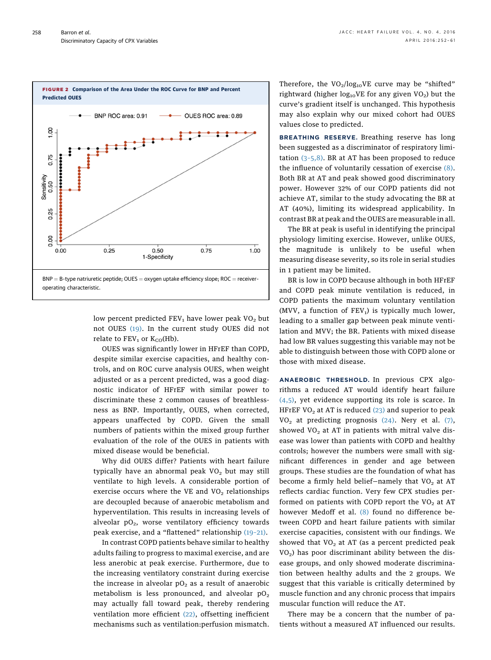<span id="page-6-0"></span>

low percent predicted  $FEV<sub>1</sub>$  have lower peak VO<sub>2</sub> but not OUES [\(19\).](#page-9-0) In the current study OUES did not relate to  $FEV_1$  or  $K_{CO}(Hb)$ .

OUES was significantly lower in HFrEF than COPD, despite similar exercise capacities, and healthy controls, and on ROC curve analysis OUES, when weight adjusted or as a percent predicted, was a good diagnostic indicator of HFrEF with similar power to discriminate these 2 common causes of breathlessness as BNP. Importantly, OUES, when corrected, appears unaffected by COPD. Given the small numbers of patients within the mixed group further evaluation of the role of the OUES in patients with mixed disease would be beneficial.

Why did OUES differ? Patients with heart failure typically have an abnormal peak  $VO<sub>2</sub>$  but may still ventilate to high levels. A considerable portion of exercise occurs where the VE and  $VO<sub>2</sub>$  relationships are decoupled because of anaerobic metabolism and hyperventilation. This results in increasing levels of alveolar  $pO<sub>2</sub>$ , worse ventilatory efficiency towards peak exercise, and a "flattened" relationship [\(19](#page-9-0)–21).

In contrast COPD patients behave similar to healthy adults failing to progress to maximal exercise, and are less anerobic at peak exercise. Furthermore, due to the increasing ventilatory constraint during exercise the increase in alveolar  $pO<sub>2</sub>$  as a result of anaerobic metabolism is less pronounced, and alveolar  $pO<sub>2</sub>$ may actually fall toward peak, thereby rendering ventilation more efficient [\(22\)](#page-9-0), offsetting inefficient mechanisms such as ventilation:perfusion mismatch. Therefore, the  $VO_2/log_{10}VE$  curve may be "shifted" rightward (higher  $log_{10}VE$  for any given  $VO<sub>2</sub>$ ) but the curve's gradient itself is unchanged. This hypothesis may also explain why our mixed cohort had OUES values close to predicted.

BREATHING RESERVE. Breathing reserve has long been suggested as a discriminator of respiratory limitation (3–[5,8\)](#page-8-0). BR at AT has been proposed to reduce the influence of voluntarily cessation of exercise [\(8\).](#page-8-0) Both BR at AT and peak showed good discriminatory power. However 32% of our COPD patients did not achieve AT, similar to the study advocating the BR at AT (40%), limiting its widespread applicability. In contrast BR at peak and the OUES are measurable in all.

The BR at peak is useful in identifying the principal physiology limiting exercise. However, unlike OUES, the magnitude is unlikely to be useful when measuring disease severity, so its role in serial studies in 1 patient may be limited.

BR is low in COPD because although in both HFrEF and COPD peak minute ventilation is reduced, in COPD patients the maximum voluntary ventilation (MVV, a function of  $FEV<sub>1</sub>$ ) is typically much lower, leading to a smaller gap between peak minute ventilation and MVV; the BR. Patients with mixed disease had low BR values suggesting this variable may not be able to distinguish between those with COPD alone or those with mixed disease.

ANAEROBIC THRESHOLD. In previous CPX algorithms a reduced AT would identify heart failure [\(4,5\)](#page-8-0), yet evidence supporting its role is scarce. In HFrEF VO<sub>2</sub> at AT is reduced  $(23)$  and superior to peak  $VO<sub>2</sub>$  at predicting prognosis [\(24\)](#page-9-0). Nery et al. [\(7\),](#page-8-0) showed  $VO<sub>2</sub>$  at AT in patients with mitral valve disease was lower than patients with COPD and healthy controls; however the numbers were small with significant differences in gender and age between groups. These studies are the foundation of what has become a firmly held belief-namely that  $VO<sub>2</sub>$  at AT reflects cardiac function. Very few CPX studies performed on patients with COPD report the  $VO<sub>2</sub>$  at AT however Medoff et al. [\(8\)](#page-8-0) found no difference between COPD and heart failure patients with similar exercise capacities, consistent with our findings. We showed that  $VO<sub>2</sub>$  at AT (as a percent predicted peak  $VO<sub>2</sub>$ ) has poor discriminant ability between the disease groups, and only showed moderate discrimination between healthy adults and the 2 groups. We suggest that this variable is critically determined by muscle function and any chronic process that impairs muscular function will reduce the AT.

There may be a concern that the number of patients without a measured AT influenced our results.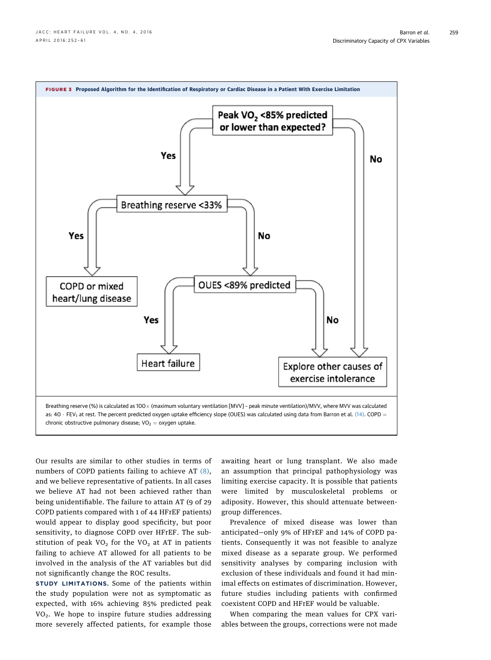<span id="page-7-0"></span>

Our results are similar to other studies in terms of numbers of COPD patients failing to achieve AT [\(8\),](#page-8-0) and we believe representative of patients. In all cases we believe AT had not been achieved rather than being unidentifiable. The failure to attain AT (9 of 29 COPD patients compared with 1 of 44 HFrEF patients) would appear to display good specificity, but poor sensitivity, to diagnose COPD over HFrEF. The substitution of peak  $VO<sub>2</sub>$  for the  $VO<sub>2</sub>$  at AT in patients failing to achieve AT allowed for all patients to be involved in the analysis of the AT variables but did not significantly change the ROC results.

STUDY LIMITATIONS. Some of the patients within the study population were not as symptomatic as expected, with 16% achieving 85% predicted peak VO2. We hope to inspire future studies addressing more severely affected patients, for example those awaiting heart or lung transplant. We also made an assumption that principal pathophysiology was limiting exercise capacity. It is possible that patients were limited by musculoskeletal problems or adiposity. However, this should attenuate betweengroup differences.

Prevalence of mixed disease was lower than anticipated—only 9% of HFrEF and 14% of COPD patients. Consequently it was not feasible to analyze mixed disease as a separate group. We performed sensitivity analyses by comparing inclusion with exclusion of these individuals and found it had minimal effects on estimates of discrimination. However, future studies including patients with confirmed coexistent COPD and HFrEF would be valuable.

When comparing the mean values for CPX variables between the groups, corrections were not made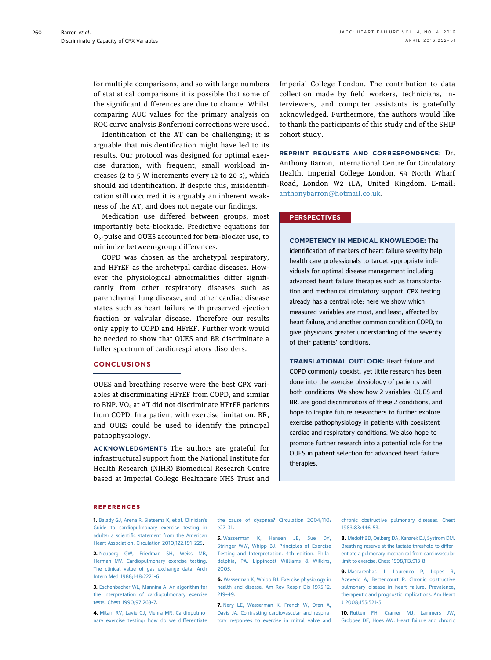<span id="page-8-0"></span>for multiple comparisons, and so with large numbers of statistical comparisons it is possible that some of the significant differences are due to chance. Whilst comparing AUC values for the primary analysis on ROC curve analysis Bonferroni corrections were used.

Identification of the AT can be challenging; it is arguable that misidentification might have led to its results. Our protocol was designed for optimal exercise duration, with frequent, small workload increases (2 to 5 W increments every 12 to 20 s), which should aid identification. If despite this, misidentification still occurred it is arguably an inherent weakness of the AT, and does not negate our findings.

Medication use differed between groups, most importantly beta-blockade. Predictive equations for O<sub>2</sub>-pulse and OUES accounted for beta-blocker use, to minimize between-group differences.

COPD was chosen as the archetypal respiratory, and HFrEF as the archetypal cardiac diseases. However the physiological abnormalities differ significantly from other respiratory diseases such as parenchymal lung disease, and other cardiac disease states such as heart failure with preserved ejection fraction or valvular disease. Therefore our results only apply to COPD and HFrEF. Further work would be needed to show that OUES and BR discriminate a fuller spectrum of cardiorespiratory disorders.

# **CONCLUSIONS**

OUES and breathing reserve were the best CPX variables at discriminating HFrEF from COPD, and similar to BNP.  $VO<sub>2</sub>$  at AT did not discriminate HFrEF patients from COPD. In a patient with exercise limitation, BR, and OUES could be used to identify the principal pathophysiology.

ACKNOWLEDGMENTS The authors are grateful for infrastructural support from the National Institute for Health Research (NIHR) Biomedical Research Centre based at Imperial College Healthcare NHS Trust and Imperial College London. The contribution to data collection made by field workers, technicians, interviewers, and computer assistants is gratefully acknowledged. Furthermore, the authors would like to thank the participants of this study and of the SHIP cohort study.

REPRINT REQUESTS AND CORRESPONDENCE: Dr. Anthony Barron, International Centre for Circulatory Health, Imperial College London, 59 North Wharf Road, London W2 1LA, United Kingdom. E-mail: [anthonybarron@hotmail.co.uk.](mailto:anthonybarron@hotmail.co.uk)

## **PERSPECTIVES**

COMPETENCY IN MEDICAL KNOWLEDGE: The identification of markers of heart failure severity help health care professionals to target appropriate individuals for optimal disease management including advanced heart failure therapies such as transplantation and mechanical circulatory support. CPX testing already has a central role; here we show which measured variables are most, and least, affected by heart failure, and another common condition COPD, to give physicians greater understanding of the severity of their patients' conditions.

TRANSLATIONAL OUTLOOK: Heart failure and COPD commonly coexist, yet little research has been done into the exercise physiology of patients with both conditions. We show how 2 variables, OUES and BR, are good discriminators of these 2 conditions, and hope to inspire future researchers to further explore exercise pathophysiology in patients with coexistent cardiac and respiratory conditions. We also hope to promote further research into a potential role for the OUES in patient selection for advanced heart failure therapies.

#### REFERENCES

1. [Balady GJ, Arena R, Sietsema K, et al. Clinician](http://refhub.elsevier.com/S2213-1779(15)00705-2/sref1)'s [Guide to cardiopulmonary exercise testing in](http://refhub.elsevier.com/S2213-1779(15)00705-2/sref1) adults: a scientifi[c statement from the American](http://refhub.elsevier.com/S2213-1779(15)00705-2/sref1) [Heart Association. Circulation 2010;122:191](http://refhub.elsevier.com/S2213-1779(15)00705-2/sref1)–225.

2. [Neuberg GW, Friedman SH, Weiss MB,](http://refhub.elsevier.com/S2213-1779(15)00705-2/sref2) [Herman MV. Cardiopulmonary exercise testing.](http://refhub.elsevier.com/S2213-1779(15)00705-2/sref2) [The clinical value of gas exchange data. Arch](http://refhub.elsevier.com/S2213-1779(15)00705-2/sref2) [Intern Med 1988;148:2221](http://refhub.elsevier.com/S2213-1779(15)00705-2/sref2)–6.

3. [Eschenbacher WL, Mannina A. An algorithm for](http://refhub.elsevier.com/S2213-1779(15)00705-2/sref3) [the interpretation of cardiopulmonary exercise](http://refhub.elsevier.com/S2213-1779(15)00705-2/sref3) [tests. Chest 1990;97:263](http://refhub.elsevier.com/S2213-1779(15)00705-2/sref3)–7.

4. [Milani RV, Lavie CJ, Mehra MR. Cardiopulmo](http://refhub.elsevier.com/S2213-1779(15)00705-2/sref4)[nary exercise testing: how do we differentiate](http://refhub.elsevier.com/S2213-1779(15)00705-2/sref4) [the cause of dyspnea? Circulation 2004;110:](http://refhub.elsevier.com/S2213-1779(15)00705-2/sref4) [e27](http://refhub.elsevier.com/S2213-1779(15)00705-2/sref4)–31.

5. [Wasserman K, Hansen JE, Sue DY,](http://refhub.elsevier.com/S2213-1779(15)00705-2/sref5) [Stringer WW, Whipp BJ. Principles of Exercise](http://refhub.elsevier.com/S2213-1779(15)00705-2/sref5) [Testing and Interpretation. 4th edition. Phila](http://refhub.elsevier.com/S2213-1779(15)00705-2/sref5)[delphia, PA: Lippincott Williams & Wilkins,](http://refhub.elsevier.com/S2213-1779(15)00705-2/sref5) [2005](http://refhub.elsevier.com/S2213-1779(15)00705-2/sref5).

6. [Wasserman K, Whipp BJ. Exercise physiology in](http://refhub.elsevier.com/S2213-1779(15)00705-2/sref6) [health and disease. Am Rev Respir Dis 1975;12:](http://refhub.elsevier.com/S2213-1779(15)00705-2/sref6) [219](http://refhub.elsevier.com/S2213-1779(15)00705-2/sref6)–49.

7. [Nery LE, Wasserman K, French W, Oren A,](http://refhub.elsevier.com/S2213-1779(15)00705-2/sref7) [Davis JA. Contrasting cardiovascular and respira](http://refhub.elsevier.com/S2213-1779(15)00705-2/sref7)[tory responses to exercise in mitral valve and](http://refhub.elsevier.com/S2213-1779(15)00705-2/sref7) [chronic obstructive pulmonary diseases. Chest](http://refhub.elsevier.com/S2213-1779(15)00705-2/sref7) [1983;83:446](http://refhub.elsevier.com/S2213-1779(15)00705-2/sref7)–53.

8. [Medoff BD, Oelberg DA, Kanarek DJ, Systrom DM.](http://refhub.elsevier.com/S2213-1779(15)00705-2/sref8) [Breathing reserve at the lactate threshold to differ](http://refhub.elsevier.com/S2213-1779(15)00705-2/sref8)[entiate a pulmonary mechanical from cardiovascular](http://refhub.elsevier.com/S2213-1779(15)00705-2/sref8) [limit to exercise. Chest 1998;113:913](http://refhub.elsevier.com/S2213-1779(15)00705-2/sref8)–8.

9. [Mascarenhas J, Lourenco P, Lopes R,](http://refhub.elsevier.com/S2213-1779(15)00705-2/sref9) [Azevedo A, Bettencourt P. Chronic obstructive](http://refhub.elsevier.com/S2213-1779(15)00705-2/sref9) [pulmonary disease in heart failure. Prevalence,](http://refhub.elsevier.com/S2213-1779(15)00705-2/sref9) [therapeutic and prognostic implications. Am Heart](http://refhub.elsevier.com/S2213-1779(15)00705-2/sref9) [J 2008;155:521](http://refhub.elsevier.com/S2213-1779(15)00705-2/sref9)–5.

10. [Rutten FH, Cramer MJ, Lammers JW,](http://refhub.elsevier.com/S2213-1779(15)00705-2/sref10) [Grobbee DE, Hoes AW. Heart failure and chronic](http://refhub.elsevier.com/S2213-1779(15)00705-2/sref10)